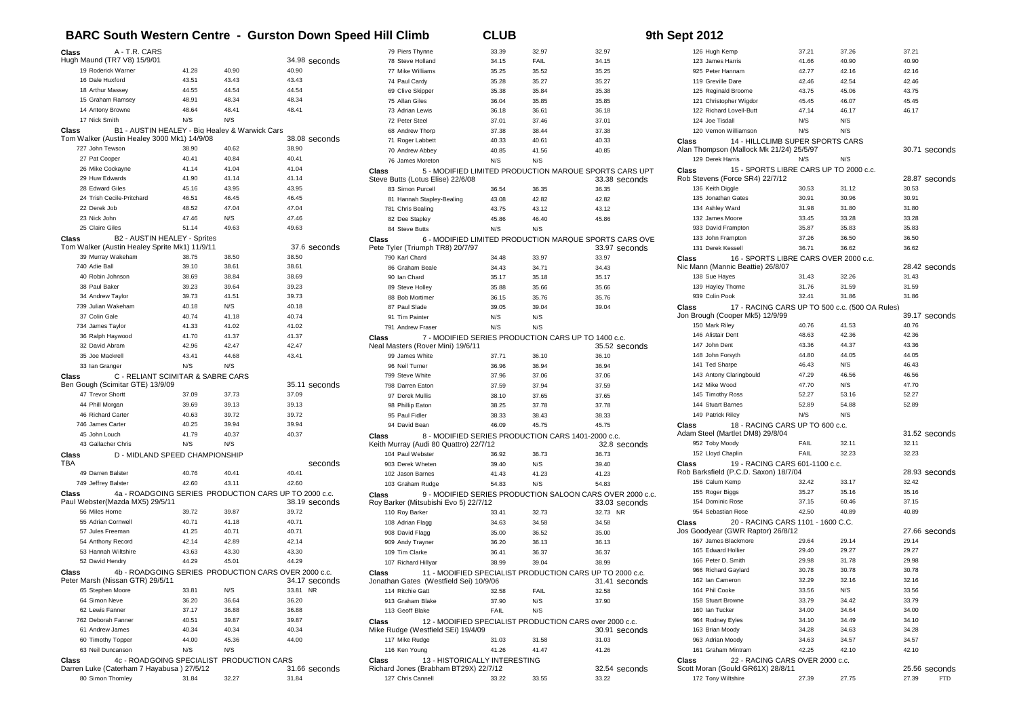## **BARC South Western Centre - Gurston Down Speed Hill Climb CLUB 9th Sept 2012**

| Class<br>A - T.R. CARS                                                                          |                |                                                       |                | 79 Piers Thynne                                              | 33.39        | 32.97        | 32.97                                                                   |  |
|-------------------------------------------------------------------------------------------------|----------------|-------------------------------------------------------|----------------|--------------------------------------------------------------|--------------|--------------|-------------------------------------------------------------------------|--|
| Hugh Maund (TR7 V8) 15/9/01                                                                     |                |                                                       | 34.98 seconds  | 78 Steve Holland                                             | 34.15        | <b>FAIL</b>  | 34.15                                                                   |  |
| 19 Roderick Warner                                                                              | 41.28          | 40.90                                                 | 40.90          | 77 Mike Williams                                             | 35.25        | 35.52        | 35.25                                                                   |  |
| 16 Dale Huxford                                                                                 | 43.51          | 43.43                                                 | 43.43          | 74 Paul Cardy                                                | 35.28        | 35.27        | 35.27                                                                   |  |
| 18 Arthur Massey                                                                                | 44.55          | 44.54                                                 | 44.54          | 69 Clive Skipper                                             | 35.38        | 35.84        | 35.38                                                                   |  |
| 15 Graham Ramsey                                                                                | 48.91          | 48.34                                                 | 48.34          | 75 Allan Giles                                               | 36.04        | 35.85        | 35.85                                                                   |  |
| 14 Antony Browne                                                                                | 48.64          | 48.41                                                 | 48.41          | 73 Adrian Lewis                                              | 36.18        | 36.61        | 36.18                                                                   |  |
| 17 Nick Smith                                                                                   | N/S            | N/S                                                   |                | 72 Peter Steel                                               | 37.01        | 37.46        | 37.01                                                                   |  |
| Class                                                                                           |                | B1 - AUSTIN HEALEY - Big Healey & Warwick Cars        |                | 68 Andrew Thorp                                              | 37.38        | 38.44        | 37.38                                                                   |  |
| Tom Walker (Austin Healey 3000 Mk1) 14/9/08                                                     |                |                                                       | 38.08 seconds  | 71 Roger Labbett                                             | 40.33        | 40.61        | 40.33                                                                   |  |
| 727 John Tewson                                                                                 | 38.90<br>40.41 | 40.62<br>40.84                                        | 38.90<br>40.41 | 70 Andrew Abbey                                              | 40.85        | 41.56        | 40.85                                                                   |  |
| 27 Pat Cooper                                                                                   |                |                                                       | 41.04          | 76 James Moreton                                             | N/S          | N/S          |                                                                         |  |
| 26 Mike Cockayne<br>29 Huw Edwards                                                              | 41.14<br>41.90 | 41.04<br>41.14                                        | 41.14          | Class                                                        |              |              | 5 - MODIFIED LIMITED PRODUCTION MARQUE SPORTS CARS UPT                  |  |
| 28 Edward Giles                                                                                 | 45.16          | 43.95                                                 | 43.95          | Steve Butts (Lotus Elise) 22/6/08                            |              |              | 33.38 seconds                                                           |  |
| 24 Trish Cecile-Pritchard                                                                       | 46.51          | 46.45                                                 | 46.45          | 83 Simon Purcell                                             | 36.54        | 36.35        | 36.35                                                                   |  |
| 22 Derek Job                                                                                    | 48.52          | 47.04                                                 | 47.04          | 81 Hannah Stapley-Bealing                                    | 43.08        | 42.82        | 42.82                                                                   |  |
| 23 Nick John                                                                                    | 47.46          | N/S                                                   | 47.46          | 781 Chris Bealing                                            | 43.75        | 43.12        | 43.12<br>45.86                                                          |  |
| 25 Claire Giles                                                                                 | 51.14          | 49.63                                                 | 49.63          | 82 Dee Stapley<br>84 Steve Butts                             | 45.86<br>N/S | 46.40<br>N/S |                                                                         |  |
| B2 - AUSTIN HEALEY - Sprites<br>Class                                                           |                |                                                       |                |                                                              |              |              |                                                                         |  |
| Tom Walker (Austin Healey Sprite Mk1) 11/9/11                                                   |                |                                                       | 37.6 seconds   | Class<br>Pete Tyler (Triumph TR8) 20/7/97                    |              |              | 6 - MODIFIED LIMITED PRODUCTION MARQUE SPORTS CARS OVE<br>33.97 seconds |  |
| 39 Murray Wakeham                                                                               | 38.75          | 38.50                                                 | 38.50          | 790 Karl Chard                                               | 34.48        | 33.97        | 33.97                                                                   |  |
| 740 Adie Ball                                                                                   | 39.10          | 38.61                                                 | 38.61          | 86 Graham Beale                                              | 34.43        | 34.71        | 34.43                                                                   |  |
| 40 Robin Johnson                                                                                | 38.69          | 38.84                                                 | 38.69          | 90 Ian Chard                                                 | 35.17        | 35.18        | 35.17                                                                   |  |
| 38 Paul Baker                                                                                   | 39.23          | 39.64                                                 | 39.23          | 89 Steve Holley                                              | 35.88        | 35.66        | 35.66                                                                   |  |
| 34 Andrew Taylor                                                                                | 39.73          | 41.51                                                 | 39.73          | 88 Bob Mortimer                                              | 36.15        | 35.76        | 35.76                                                                   |  |
| 739 Julian Wakeham                                                                              | 40.18          | N/S                                                   | 40.18          | 87 Paul Slade                                                | 39.05        | 39.04        | 39.04                                                                   |  |
| 37 Colin Gale                                                                                   | 40.74          | 41.18                                                 | 40.74          | 91 Tim Painter                                               | N/S          | N/S          |                                                                         |  |
| 734 James Taylor                                                                                | 41.33          | 41.02                                                 | 41.02          | 791 Andrew Fraser                                            | N/S          | N/S          |                                                                         |  |
| 36 Ralph Haywood                                                                                | 41.70          | 41.37                                                 | 41.37          | 7 - MODIFIED SERIES PRODUCTION CARS UP TO 1400 c.c.<br>Class |              |              |                                                                         |  |
| 32 David Abram                                                                                  | 42.96          | 42.47                                                 | 42.47          | Neal Masters (Rover Mini) 19/6/11                            |              |              | 35.52 seconds                                                           |  |
| 35 Joe Mackrell                                                                                 | 43.41          | 44.68                                                 | 43.41          | 99 James White                                               | 37.71        | 36.10        | 36.10                                                                   |  |
| 33 Ian Granger                                                                                  | N/S            | N/S                                                   |                | 96 Neil Turner                                               | 36.96        | 36.94        | 36.94                                                                   |  |
| C - RELIANT SCIMITAR & SABRE CARS<br>Class                                                      |                |                                                       |                | 799 Steve White                                              | 37.96        | 37.06        | 37.06                                                                   |  |
| Ben Gough (Scimitar GTE) 13/9/09                                                                |                |                                                       | 35.11 seconds  | 798 Darren Eaton                                             | 37.59        | 37.94        | 37.59                                                                   |  |
| 47 Trevor Shortt                                                                                | 37.09          | 37.73                                                 | 37.09          | 97 Derek Mullis                                              | 38.10        | 37.65        | 37.65                                                                   |  |
| 44 Phill Morgan                                                                                 | 39.69          | 39.13                                                 | 39.13          | 98 Phillip Eaton                                             | 38.25        | 37.78        | 37.78                                                                   |  |
| 46 Richard Carter                                                                               | 40.63          | 39.72                                                 | 39.72          | 95 Paul Fidler                                               | 38.33        | 38.43        | 38.33                                                                   |  |
| 746 James Carter                                                                                | 40.25          | 39.94                                                 | 39.94          | 94 David Bean                                                | 46.09        | 45.75        | 45.75                                                                   |  |
| 45 John Louch                                                                                   | 41.79          | 40.37                                                 | 40.37          | 8 - MODIFIED SERIES PRODUCTION CARS 1401-2000 c.c.<br>Class  |              |              |                                                                         |  |
| 43 Gallacher Chris                                                                              | N/S            | N/S                                                   |                | Keith Murray (Audi 80 Quattro) 22/7/12                       |              |              | 32.8 seconds                                                            |  |
| D - MIDLAND SPEED CHAMPIONSHIP<br>Class                                                         |                |                                                       |                | 104 Paul Webster                                             | 36.92        | 36.73        | 36.73                                                                   |  |
| <b>TBA</b>                                                                                      |                |                                                       | seconds        | 903 Derek Wheten                                             | 39.40        | N/S          | 39.40                                                                   |  |
| 49 Darren Balster                                                                               | 40.76          | 40.41                                                 | 40.41          | 102 Jason Barnes                                             | 41.43        | 41.23        | 41.23                                                                   |  |
| 749 Jeffrey Balster                                                                             | 42.60          | 43.11                                                 | 42.60          | 103 Graham Rudge                                             | 54.83        | N/S          | 54.83                                                                   |  |
| Class<br>Paul Webster(Mazda MX5) 29/5/11                                                        |                | 4a - ROADGOING SERIES PRODUCTION CARS UP TO 2000 c.c. | 38.19 seconds  | Class                                                        |              |              | 9 - MODIFIED SERIES PRODUCTION SALOON CARS OVER 2000 c.c.               |  |
| 56 Miles Horne                                                                                  | 39.72          | 39.87                                                 | 39.72          | Roy Barker (Mitsubishi Evo 5) 22/7/12<br>110 Roy Barker      | 33.41        | 32.73        | 33.03 seconds<br>32.73 NR                                               |  |
| 55 Adrian Cornwell                                                                              | 40.71          | 41.18                                                 | 40.71          | 108 Adrian Flagg                                             | 34.63        | 34.58        | 34.58                                                                   |  |
| 57 Jules Freeman                                                                                | 41.25          | 40.71                                                 | 40.71          | 908 David Flagg                                              | 35.00        | 36.52        | 35.00                                                                   |  |
| 54 Anthony Record                                                                               | 42.14          | 42.89                                                 | 42.14          | 909 Andy Trayner                                             | 36.20        | 36.13        | 36.13                                                                   |  |
| 53 Hannah Wiltshire                                                                             | 43.63          | 43.30                                                 | 43.30          | 109 Tim Clarke                                               | 36.41        | 36.37        | 36.37                                                                   |  |
| 52 David Hendry                                                                                 | 44.29          | 45.01                                                 | 44.29          | 107 Richard Hillyar                                          | 38.99        | 39.04        | 38.99                                                                   |  |
| Class                                                                                           |                | 4b - ROADGOING SERIES PRODUCTION CARS OVER 2000 c.c.  |                | Class                                                        |              |              | 11 - MODIFIED SPECIALIST PRODUCTION CARS UP TO 2000 c.c.                |  |
| Peter Marsh (Nissan GTR) 29/5/11                                                                |                |                                                       | 34.17 seconds  | Jonathan Gates (Westfield Sei) 10/9/06                       |              |              | 31.41 seconds                                                           |  |
| 65 Stephen Moore                                                                                | 33.81          | N/S                                                   | 33.81 NR       | 114 Ritchie Gatt                                             | 32.58        | FAIL         | 32.58                                                                   |  |
| 64 Simon Neve                                                                                   | 36.20          | 36.64                                                 | 36.20          | 913 Graham Blake                                             | 37.90        | N/S          | 37.90                                                                   |  |
| 62 Lewis Fanner                                                                                 | 37.17          | 36.88                                                 | 36.88          | 113 Geoff Blake                                              | FAIL         | N/S          |                                                                         |  |
| 762 Deborah Fanner                                                                              | 40.51          | 39.87                                                 | 39.87          | Class                                                        |              |              | 12 - MODIFIED SPECIALIST PRODUCTION CARS over 2000 c.c.                 |  |
| 61 Andrew James                                                                                 | 40.34          | 40.34                                                 | 40.34          | Mike Rudge (Westfield SEi) 19/4/09                           |              |              | 30.91 seconds                                                           |  |
| 60 Timothy Topper                                                                               | 44.00          | 45.36                                                 | 44.00          | 117 Mike Rudge                                               | 31.03        | 31.58        | 31.03                                                                   |  |
| 63 Neil Duncanson                                                                               | N/S            | N/S                                                   |                | 116 Ken Young                                                | 41.26        | 41.47        | 41.26                                                                   |  |
| 4c - ROADGOING SPECIALIST<br>PRODUCTION CARS<br>Class<br>Class<br>13 - HISTORICALLY INTERESTING |                |                                                       |                |                                                              |              |              |                                                                         |  |
| Darren Luke (Caterham 7 Hayabusa) 27/5/12                                                       |                |                                                       | 31.66 seconds  | Richard Jones (Brabham BT29X) 22/7/12                        |              |              | 32.54 seconds                                                           |  |
| 80 Simon Thornley                                                                               | 31.84          | 32.27                                                 | 31.84          | 127 Chris Cannell                                            | 33.22        | 33.55        | 33.22                                                                   |  |

| 126 Hugh Kemp                                   | 37.21 | 37.26                                          | 37.21               |
|-------------------------------------------------|-------|------------------------------------------------|---------------------|
| 123 James Harris                                | 41.66 | 40.90                                          | 40.90               |
| 925 Peter Hannam                                | 42.77 | 42.16                                          | 42.16               |
| 119 Greville Dare                               | 42.46 | 42.54                                          | 42.46               |
| 125 Reginald Broome                             | 43.75 | 45.06                                          | 43.75               |
| 121 Christopher Wigdor                          | 45.45 | 46.07                                          | 45.45               |
| 122 Richard Lovell-Butt                         | 47.14 | 46.17                                          | 46.17               |
| 124 Joe Tisdall                                 | N/S   | N/S                                            |                     |
| 120 Vernon Williamson                           | N/S   | N/S                                            |                     |
| 14 - HILLCLIMB SUPER SPORTS CARS<br>Class       |       |                                                |                     |
| Alan Thompson (Mallock Mk 21/24) 25/5/97        |       |                                                | 30.71 seconds       |
| 129 Derek Harris                                | N/S   | N/S                                            |                     |
| 15 - SPORTS LIBRE CARS UP TO 2000 c.c.<br>Class |       |                                                |                     |
| Rob Stevens (Force SR4) 22/7/12                 |       |                                                | 28.87 seconds       |
| 136 Keith Diggle                                | 30.53 | 31.12                                          | 30.53               |
| 135 Jonathan Gates                              | 30.91 | 30.96                                          | 30.91               |
| 134 Ashley Ward                                 | 31.98 | 31.80                                          | 31.80               |
| 132 James Moore                                 | 33.45 | 33.28                                          | 33.28               |
| 933 David Frampton                              | 35.87 | 35.83                                          | 35.83               |
| 133 John Frampton                               | 37.26 | 36.50                                          | 36.50               |
| 131 Derek Kessell                               | 36.71 | 36.62                                          | 36.62               |
| 16 - SPORTS LIBRE CARS OVER 2000 c.c.<br>Class  |       |                                                |                     |
| Nic Mann (Mannic Beattie) 26/8/07               |       |                                                | 28.42 seconds       |
| 138 Sue Hayes                                   | 31.43 | 32.26                                          | 31.43               |
| 139 Hayley Thorne                               | 31.76 | 31.59                                          | 31.59               |
| 939 Colin Pook                                  | 32.41 | 31.86                                          | 31.86               |
| Class                                           |       | 17 - RACING CARS UP TO 500 c.c. (500 OA Rules) |                     |
| Jon Brough (Cooper Mk5) 12/9/99                 |       |                                                | 39.17 seconds       |
| 150 Mark Riley                                  | 40.76 | 41.53                                          | 40.76               |
| 146 Alistair Dent                               | 48.63 | 42.36                                          | 42.36               |
| 147 John Dent                                   | 43.36 | 44.37                                          | 43.36               |
| 148 John Forsyth                                | 44.80 | 44.05                                          | 44.05               |
| 141 Ted Sharpe                                  | 46.43 | N/S                                            | 46.43               |
| 143 Antony Claringbould                         | 47.29 | 46.56                                          | 46.56               |
| 142 Mike Wood                                   | 47.70 | N/S                                            | 47.70               |
| 145 Timothy Ross                                | 52.27 | 53.16                                          | 52.27               |
| 144 Stuart Barnes                               | 52.89 | 54.88                                          | 52.89               |
| 149 Patrick Riley                               | N/S   | N/S                                            |                     |
| 18 - RACING CARS UP TO 600 c.c.<br>Class        |       |                                                |                     |
| Adam Steel (Martlet DM8) 29/8/04                |       |                                                | 31.52 seconds       |
| 952 Toby Moody                                  | FAIL  | 32.11                                          | 32.11               |
| 152 Lloyd Chaplin                               | FAIL  | 32.23                                          | 32.23               |
| 19 - RACING CARS 601-1100 c.c.<br>Class         |       |                                                |                     |
| Rob Barksfield (P.C.D. Saxon) 18/7/04           |       |                                                | 28.93 seconds       |
| 156 Calum Kemp                                  | 32.42 | 33.17                                          | 32.42               |
| 155 Roger Biggs                                 | 35.27 | 35.16                                          | 35.16               |
| 154 Dominic Rose                                | 37.15 | 60.46                                          | 37.15               |
| 954 Sebastian Rose                              | 42.50 | 40.89                                          | 40.89               |
| 20 - RACING CARS 1101 - 1600 C.C.<br>Class      |       |                                                |                     |
| Jos Goodyear (GWR Raptor) 26/8/12               |       |                                                | 27.66 seconds       |
| 167 James Blackmore                             | 29.64 | 29.14                                          | 29.14               |
| 165 Edward Hollier                              | 29.40 | 29.27                                          | 29.27               |
| 166 Peter D. Smith                              | 29.98 | 31.78                                          | 29.98               |
| 966 Richard Gaylard                             | 30.78 | 30.78                                          | 30.78               |
| 162 Ian Cameron                                 | 32.29 | 32.16                                          | 32.16               |
| 164 Phil Cooke                                  | 33.56 | N/S                                            | 33.56               |
| 158 Stuart Browne                               | 33.79 | 34.42                                          | 33.79               |
| 160 Ian Tucker                                  | 34.00 | 34.64                                          | 34.00               |
| 964 Rodney Eyles                                | 34.10 | 34.49                                          | 34.10               |
| 163 Brian Moody                                 | 34.28 | 34.63                                          | 34.28               |
| 963 Adrian Moody                                | 34.63 | 34.57                                          | 34.57               |
| 161 Graham Mintram                              | 42.25 | 42.10                                          | 42.10               |
| 22 - RACING CARS OVER 2000 c.c.<br>Class        |       |                                                |                     |
| Scott Moran (Gould GR61X) 28/8/11               |       |                                                | 25.56 seconds       |
| 172 Tony Wiltshire                              | 27.39 | 27.75                                          | 27.39<br><b>FTD</b> |